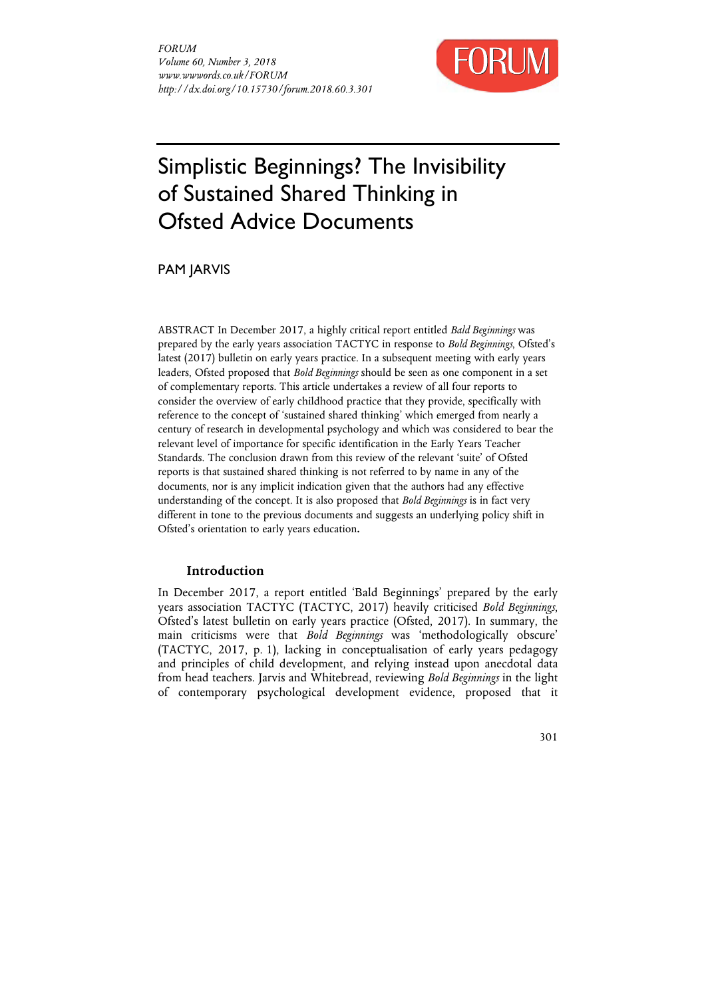

# Simplistic Beginnings? The Invisibility of Sustained Shared Thinking in Ofsted Advice Documents

PAM JARVIS

ABSTRACT In December 2017, a highly critical report entitled *Bald Beginnings* was prepared by the early years association TACTYC in response to *Bold Beginnings*, Ofsted's latest (2017) bulletin on early years practice. In a subsequent meeting with early years leaders, Ofsted proposed that *Bold Beginnings* should be seen as one component in a set of complementary reports. This article undertakes a review of all four reports to consider the overview of early childhood practice that they provide, specifically with reference to the concept of 'sustained shared thinking' which emerged from nearly a century of research in developmental psychology and which was considered to bear the relevant level of importance for specific identification in the Early Years Teacher Standards. The conclusion drawn from this review of the relevant 'suite' of Ofsted reports is that sustained shared thinking is not referred to by name in any of the documents, nor is any implicit indication given that the authors had any effective understanding of the concept. It is also proposed that *Bold Beginnings* is in fact very different in tone to the previous documents and suggests an underlying policy shift in Ofsted's orientation to early years education**.**

## **Introduction**

In December 2017, a report entitled 'Bald Beginnings' prepared by the early years association TACTYC (TACTYC, 2017) heavily criticised *Bold Beginnings*, Ofsted's latest bulletin on early years practice (Ofsted, 2017). In summary, the main criticisms were that *Bold Beginnings* was 'methodologically obscure' (TACTYC, 2017, p. 1), lacking in conceptualisation of early years pedagogy and principles of child development, and relying instead upon anecdotal data from head teachers. Jarvis and Whitebread, reviewing *Bold Beginnings* in the light of contemporary psychological development evidence, proposed that it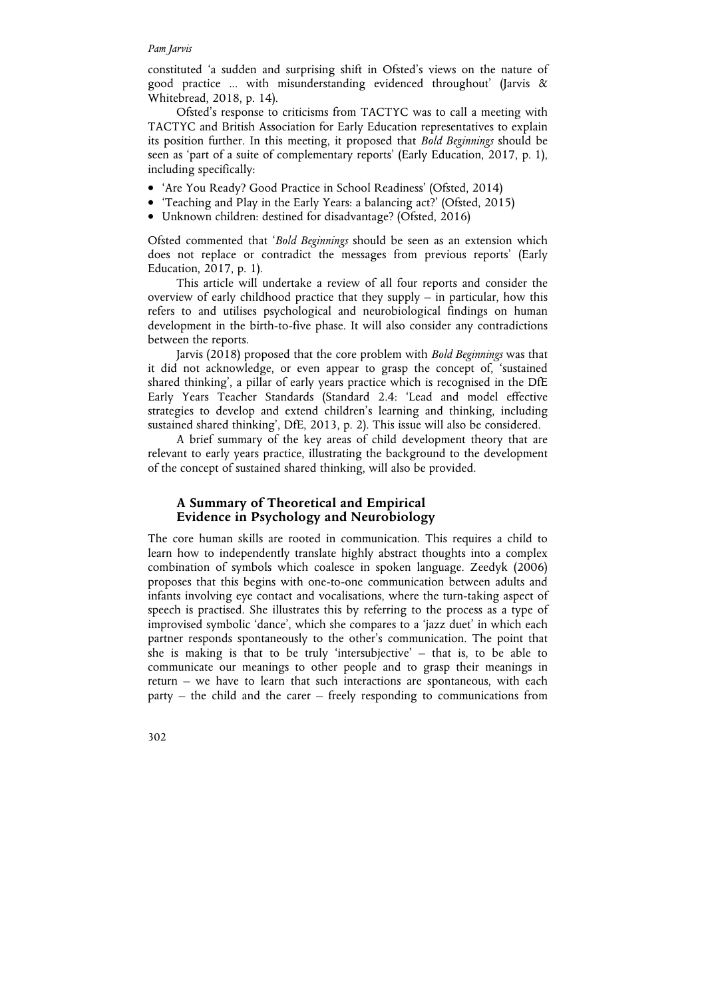#### *Pam Jarvis*

constituted 'a sudden and surprising shift in Ofsted's views on the nature of good practice ... with misunderstanding evidenced throughout' (Jarvis & Whitebread, 2018, p. 14).

Ofsted's response to criticisms from TACTYC was to call a meeting with TACTYC and British Association for Early Education representatives to explain its position further. In this meeting, it proposed that *Bold Beginnings* should be seen as 'part of a suite of complementary reports' (Early Education, 2017, p. 1), including specifically:

- 'Are You Ready? Good Practice in School Readiness' (Ofsted, 2014)
- 'Teaching and Play in the Early Years: a balancing act?' (Ofsted, 2015)
- Unknown children: destined for disadvantage? (Ofsted, 2016)

Ofsted commented that '*Bold Beginnings* should be seen as an extension which does not replace or contradict the messages from previous reports' (Early Education, 2017, p. 1).

This article will undertake a review of all four reports and consider the overview of early childhood practice that they supply  $-$  in particular, how this refers to and utilises psychological and neurobiological findings on human development in the birth-to-five phase. It will also consider any contradictions between the reports.

Jarvis (2018) proposed that the core problem with *Bold Beginnings* was that it did not acknowledge, or even appear to grasp the concept of, 'sustained shared thinking', a pillar of early years practice which is recognised in the DfE Early Years Teacher Standards (Standard 2.4: 'Lead and model effective strategies to develop and extend children's learning and thinking, including sustained shared thinking', DfE, 2013, p. 2). This issue will also be considered.

A brief summary of the key areas of child development theory that are relevant to early years practice, illustrating the background to the development of the concept of sustained shared thinking, will also be provided.

## **A Summary of Theoretical and Empirical Evidence in Psychology and Neurobiology**

The core human skills are rooted in communication. This requires a child to learn how to independently translate highly abstract thoughts into a complex combination of symbols which coalesce in spoken language. Zeedyk (2006) proposes that this begins with one-to-one communication between adults and infants involving eye contact and vocalisations, where the turn-taking aspect of speech is practised. She illustrates this by referring to the process as a type of improvised symbolic 'dance', which she compares to a 'jazz duet' in which each partner responds spontaneously to the other's communication. The point that she is making is that to be truly 'intersubjective' – that is, to be able to communicate our meanings to other people and to grasp their meanings in return – we have to learn that such interactions are spontaneous, with each party – the child and the carer – freely responding to communications from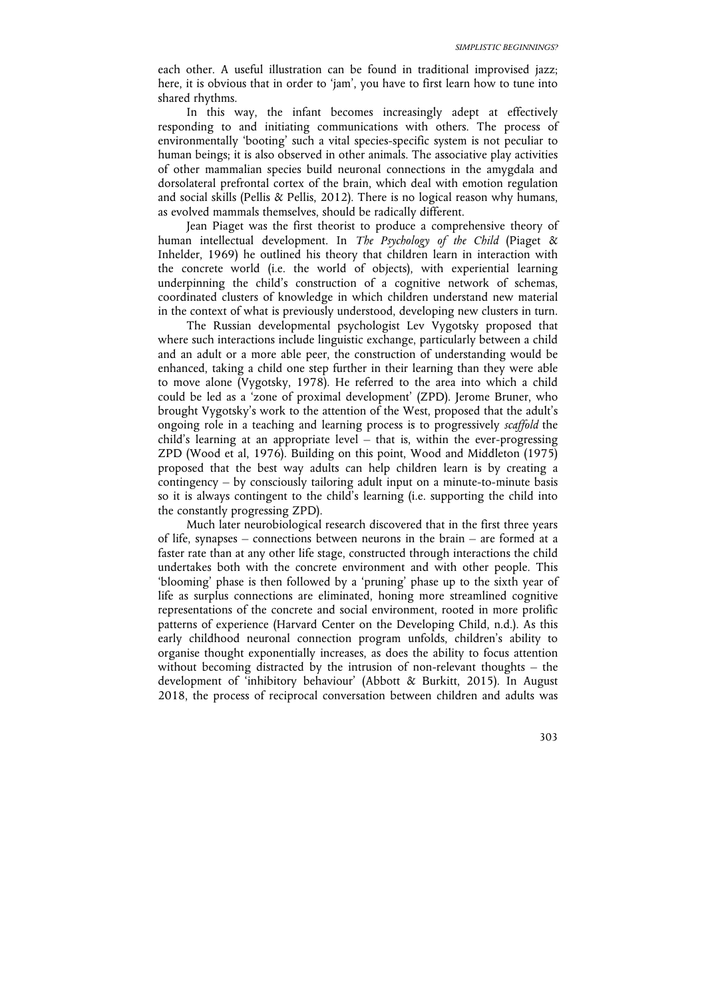each other. A useful illustration can be found in traditional improvised jazz; here, it is obvious that in order to 'jam', you have to first learn how to tune into shared rhythms.

In this way, the infant becomes increasingly adept at effectively responding to and initiating communications with others. The process of environmentally 'booting' such a vital species-specific system is not peculiar to human beings; it is also observed in other animals. The associative play activities of other mammalian species build neuronal connections in the amygdala and dorsolateral prefrontal cortex of the brain, which deal with emotion regulation and social skills (Pellis & Pellis, 2012). There is no logical reason why humans, as evolved mammals themselves, should be radically different.

Jean Piaget was the first theorist to produce a comprehensive theory of human intellectual development. In *The Psychology of the Child* (Piaget & Inhelder, 1969) he outlined his theory that children learn in interaction with the concrete world (i.e. the world of objects), with experiential learning underpinning the child's construction of a cognitive network of schemas, coordinated clusters of knowledge in which children understand new material in the context of what is previously understood, developing new clusters in turn.

The Russian developmental psychologist Lev Vygotsky proposed that where such interactions include linguistic exchange, particularly between a child and an adult or a more able peer, the construction of understanding would be enhanced, taking a child one step further in their learning than they were able to move alone (Vygotsky, 1978). He referred to the area into which a child could be led as a 'zone of proximal development' (ZPD). Jerome Bruner, who brought Vygotsky's work to the attention of the West, proposed that the adult's ongoing role in a teaching and learning process is to progressively *scaffold* the child's learning at an appropriate level – that is, within the ever-progressing ZPD (Wood et al, 1976). Building on this point, Wood and Middleton (1975) proposed that the best way adults can help children learn is by creating a contingency – by consciously tailoring adult input on a minute-to-minute basis so it is always contingent to the child's learning (i.e. supporting the child into the constantly progressing ZPD).

Much later neurobiological research discovered that in the first three years of life, synapses – connections between neurons in the brain – are formed at a faster rate than at any other life stage, constructed through interactions the child undertakes both with the concrete environment and with other people. This 'blooming' phase is then followed by a 'pruning' phase up to the sixth year of life as surplus connections are eliminated, honing more streamlined cognitive representations of the concrete and social environment, rooted in more prolific patterns of experience (Harvard Center on the Developing Child, n.d.). As this early childhood neuronal connection program unfolds, children's ability to organise thought exponentially increases, as does the ability to focus attention without becoming distracted by the intrusion of non-relevant thoughts – the development of 'inhibitory behaviour' (Abbott & Burkitt, 2015). In August 2018, the process of reciprocal conversation between children and adults was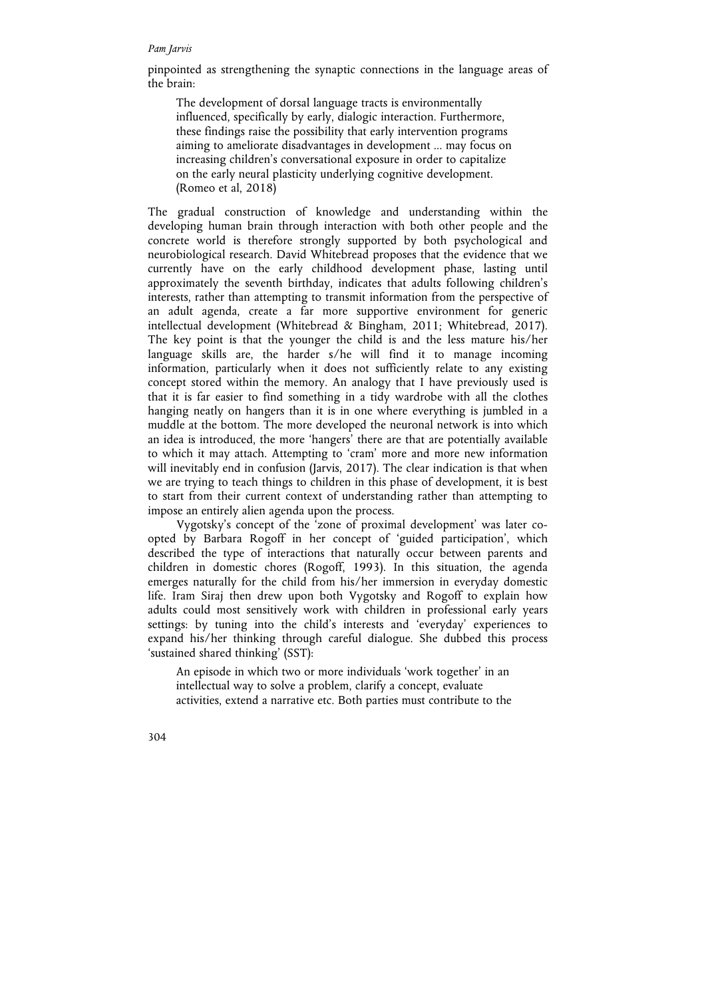#### *Pam Jarvis*

pinpointed as strengthening the synaptic connections in the language areas of the brain:

The development of dorsal language tracts is environmentally influenced, specifically by early, dialogic interaction. Furthermore, these findings raise the possibility that early intervention programs aiming to ameliorate disadvantages in development ... may focus on increasing children's conversational exposure in order to capitalize on the early neural plasticity underlying cognitive development. (Romeo et al, 2018)

The gradual construction of knowledge and understanding within the developing human brain through interaction with both other people and the concrete world is therefore strongly supported by both psychological and neurobiological research. David Whitebread proposes that the evidence that we currently have on the early childhood development phase, lasting until approximately the seventh birthday, indicates that adults following children's interests, rather than attempting to transmit information from the perspective of an adult agenda, create a far more supportive environment for generic intellectual development (Whitebread & Bingham, 2011; Whitebread, 2017). The key point is that the younger the child is and the less mature his/her language skills are, the harder s/he will find it to manage incoming information, particularly when it does not sufficiently relate to any existing concept stored within the memory. An analogy that I have previously used is that it is far easier to find something in a tidy wardrobe with all the clothes hanging neatly on hangers than it is in one where everything is jumbled in a muddle at the bottom. The more developed the neuronal network is into which an idea is introduced, the more 'hangers' there are that are potentially available to which it may attach. Attempting to 'cram' more and more new information will inevitably end in confusion (Jarvis, 2017). The clear indication is that when we are trying to teach things to children in this phase of development, it is best to start from their current context of understanding rather than attempting to impose an entirely alien agenda upon the process.

Vygotsky's concept of the 'zone of proximal development' was later coopted by Barbara Rogoff in her concept of 'guided participation', which described the type of interactions that naturally occur between parents and children in domestic chores (Rogoff, 1993). In this situation, the agenda emerges naturally for the child from his/her immersion in everyday domestic life. Iram Siraj then drew upon both Vygotsky and Rogoff to explain how adults could most sensitively work with children in professional early years settings: by tuning into the child's interests and 'everyday' experiences to expand his/her thinking through careful dialogue. She dubbed this process 'sustained shared thinking' (SST):

An episode in which two or more individuals 'work together' in an intellectual way to solve a problem, clarify a concept, evaluate activities, extend a narrative etc. Both parties must contribute to the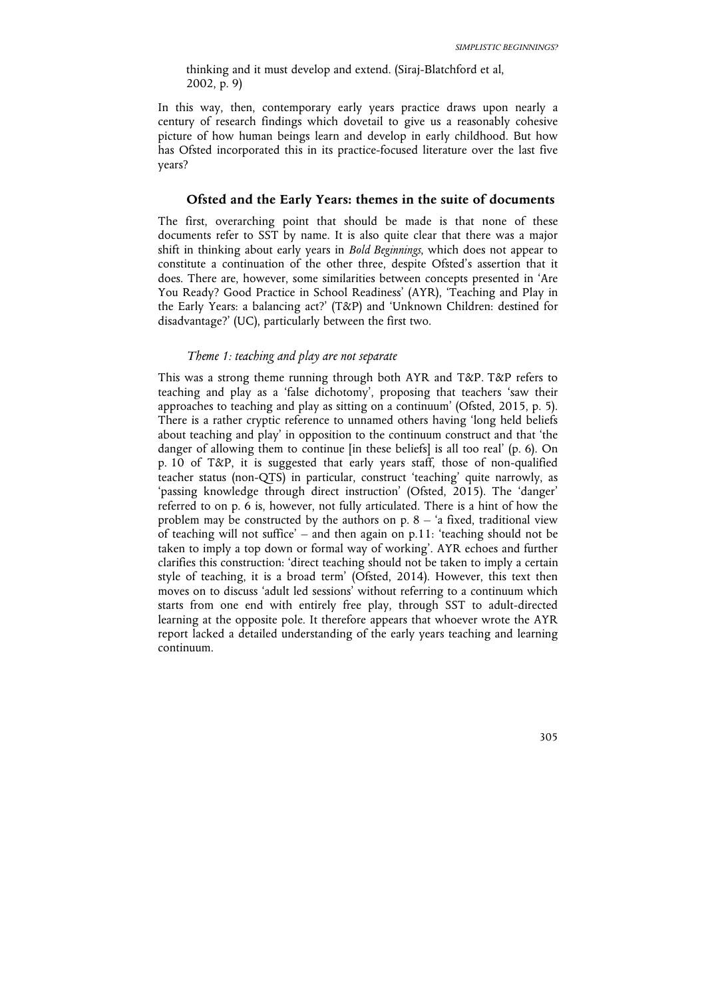thinking and it must develop and extend. (Siraj-Blatchford et al, 2002, p. 9)

In this way, then, contemporary early years practice draws upon nearly a century of research findings which dovetail to give us a reasonably cohesive picture of how human beings learn and develop in early childhood. But how has Ofsted incorporated this in its practice-focused literature over the last five years?

## **Ofsted and the Early Years: themes in the suite of documents**

The first, overarching point that should be made is that none of these documents refer to SST by name. It is also quite clear that there was a major shift in thinking about early years in *Bold Beginnings*, which does not appear to constitute a continuation of the other three, despite Ofsted's assertion that it does. There are, however, some similarities between concepts presented in 'Are You Ready? Good Practice in School Readiness' (AYR), 'Teaching and Play in the Early Years: a balancing act?' (T&P) and 'Unknown Children: destined for disadvantage?' (UC), particularly between the first two.

## *Theme 1: teaching and play are not separate*

This was a strong theme running through both AYR and T&P. T&P refers to teaching and play as a 'false dichotomy', proposing that teachers 'saw their approaches to teaching and play as sitting on a continuum' (Ofsted, 2015, p. 5). There is a rather cryptic reference to unnamed others having 'long held beliefs about teaching and play' in opposition to the continuum construct and that 'the danger of allowing them to continue [in these beliefs] is all too real' (p. 6). On p. 10 of T&P, it is suggested that early years staff, those of non-qualified teacher status (non-QTS) in particular, construct 'teaching' quite narrowly, as 'passing knowledge through direct instruction' (Ofsted, 2015). The 'danger' referred to on p. 6 is, however, not fully articulated. There is a hint of how the problem may be constructed by the authors on  $p$ .  $8 - 4$  fixed, traditional view of teaching will not suffice' – and then again on  $p.11$ : 'teaching should not be taken to imply a top down or formal way of working'. AYR echoes and further clarifies this construction: 'direct teaching should not be taken to imply a certain style of teaching, it is a broad term' (Ofsted, 2014). However, this text then moves on to discuss 'adult led sessions' without referring to a continuum which starts from one end with entirely free play, through SST to adult-directed learning at the opposite pole. It therefore appears that whoever wrote the AYR report lacked a detailed understanding of the early years teaching and learning continuum.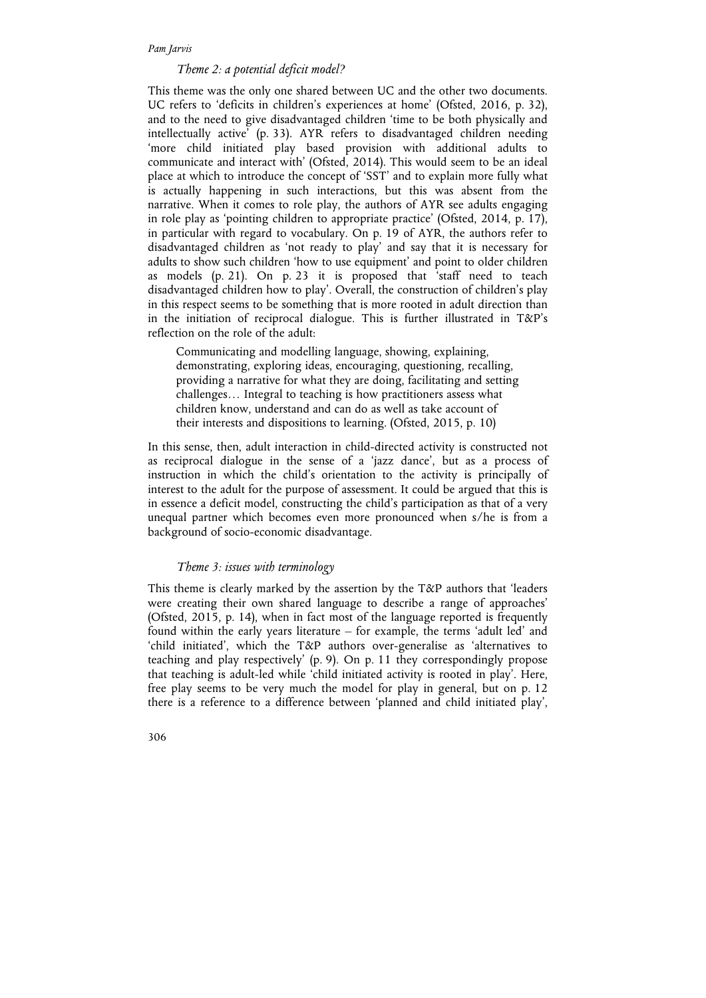#### *Pam Jarvis*

## *Theme 2: a potential deficit model?*

This theme was the only one shared between UC and the other two documents. UC refers to 'deficits in children's experiences at home' (Ofsted, 2016, p. 32), and to the need to give disadvantaged children 'time to be both physically and intellectually active' (p. 33). AYR refers to disadvantaged children needing 'more child initiated play based provision with additional adults to communicate and interact with' (Ofsted, 2014). This would seem to be an ideal place at which to introduce the concept of 'SST' and to explain more fully what is actually happening in such interactions, but this was absent from the narrative. When it comes to role play, the authors of AYR see adults engaging in role play as 'pointing children to appropriate practice' (Ofsted, 2014, p. 17), in particular with regard to vocabulary. On p. 19 of AYR, the authors refer to disadvantaged children as 'not ready to play' and say that it is necessary for adults to show such children 'how to use equipment' and point to older children as models (p. 21). On p. 23 it is proposed that 'staff need to teach disadvantaged children how to play'. Overall, the construction of children's play in this respect seems to be something that is more rooted in adult direction than in the initiation of reciprocal dialogue. This is further illustrated in T&P's reflection on the role of the adult:

Communicating and modelling language, showing, explaining, demonstrating, exploring ideas, encouraging, questioning, recalling, providing a narrative for what they are doing, facilitating and setting challenges… Integral to teaching is how practitioners assess what children know, understand and can do as well as take account of their interests and dispositions to learning. (Ofsted, 2015, p. 10)

In this sense, then, adult interaction in child-directed activity is constructed not as reciprocal dialogue in the sense of a 'jazz dance', but as a process of instruction in which the child's orientation to the activity is principally of interest to the adult for the purpose of assessment. It could be argued that this is in essence a deficit model, constructing the child's participation as that of a very unequal partner which becomes even more pronounced when s/he is from a background of socio-economic disadvantage.

### *Theme 3: issues with terminology*

This theme is clearly marked by the assertion by the T&P authors that 'leaders were creating their own shared language to describe a range of approaches' (Ofsted, 2015, p. 14), when in fact most of the language reported is frequently found within the early years literature – for example, the terms 'adult led' and 'child initiated', which the T&P authors over-generalise as 'alternatives to teaching and play respectively' (p. 9). On p. 11 they correspondingly propose that teaching is adult-led while 'child initiated activity is rooted in play'. Here, free play seems to be very much the model for play in general, but on p. 12 there is a reference to a difference between 'planned and child initiated play',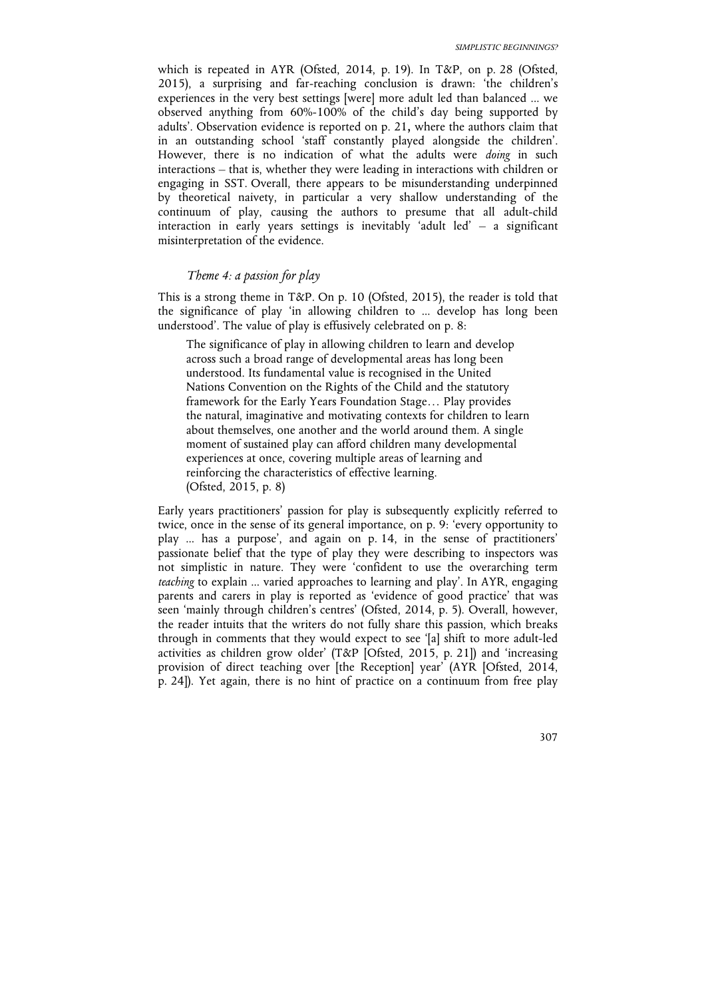which is repeated in AYR (Ofsted, 2014, p. 19). In T&P, on p. 28 (Ofsted, 2015), a surprising and far-reaching conclusion is drawn: 'the children's experiences in the very best settings [were] more adult led than balanced ... we observed anything from 60%-100% of the child's day being supported by adults'. Observation evidence is reported on p. 21**,** where the authors claim that in an outstanding school 'staff constantly played alongside the children'. However, there is no indication of what the adults were *doing* in such interactions – that is, whether they were leading in interactions with children or engaging in SST. Overall, there appears to be misunderstanding underpinned by theoretical naivety, in particular a very shallow understanding of the continuum of play, causing the authors to presume that all adult-child interaction in early years settings is inevitably 'adult led' – a significant misinterpretation of the evidence.

## *Theme 4: a passion for play*

This is a strong theme in T&P. On p. 10 (Ofsted, 2015), the reader is told that the significance of play 'in allowing children to ... develop has long been understood'. The value of play is effusively celebrated on p. 8:

The significance of play in allowing children to learn and develop across such a broad range of developmental areas has long been understood. Its fundamental value is recognised in the United Nations Convention on the Rights of the Child and the statutory framework for the Early Years Foundation Stage… Play provides the natural, imaginative and motivating contexts for children to learn about themselves, one another and the world around them. A single moment of sustained play can afford children many developmental experiences at once, covering multiple areas of learning and reinforcing the characteristics of effective learning. (Ofsted, 2015, p. 8)

Early years practitioners' passion for play is subsequently explicitly referred to twice, once in the sense of its general importance, on p. 9: 'every opportunity to play ... has a purpose', and again on p. 14, in the sense of practitioners' passionate belief that the type of play they were describing to inspectors was not simplistic in nature. They were 'confident to use the overarching term *teaching* to explain ... varied approaches to learning and play'. In AYR, engaging parents and carers in play is reported as 'evidence of good practice' that was seen 'mainly through children's centres' (Ofsted, 2014, p. 5). Overall, however, the reader intuits that the writers do not fully share this passion, which breaks through in comments that they would expect to see '[a] shift to more adult-led activities as children grow older' (T&P [Ofsted, 2015, p. 21]) and 'increasing provision of direct teaching over [the Reception] year' (AYR [Ofsted, 2014, p. 24]). Yet again, there is no hint of practice on a continuum from free play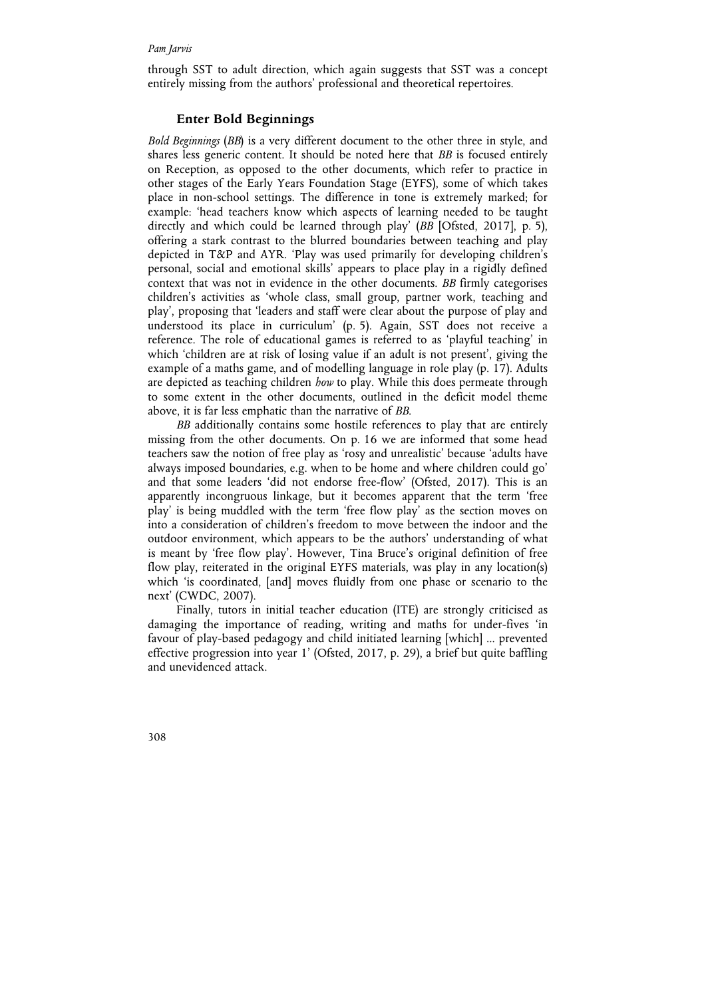through SST to adult direction, which again suggests that SST was a concept entirely missing from the authors' professional and theoretical repertoires.

#### **Enter Bold Beginnings**

*Bold Beginnings* (*BB*) is a very different document to the other three in style, and shares less generic content. It should be noted here that *BB* is focused entirely on Reception, as opposed to the other documents, which refer to practice in other stages of the Early Years Foundation Stage (EYFS), some of which takes place in non-school settings. The difference in tone is extremely marked; for example: 'head teachers know which aspects of learning needed to be taught directly and which could be learned through play' (*BB* [Ofsted, 2017], p. 5), offering a stark contrast to the blurred boundaries between teaching and play depicted in T&P and AYR. 'Play was used primarily for developing children's personal, social and emotional skills' appears to place play in a rigidly defined context that was not in evidence in the other documents. *BB* firmly categorises children's activities as 'whole class, small group, partner work, teaching and play', proposing that 'leaders and staff were clear about the purpose of play and understood its place in curriculum' (p. 5). Again, SST does not receive a reference. The role of educational games is referred to as 'playful teaching' in which 'children are at risk of losing value if an adult is not present', giving the example of a maths game, and of modelling language in role play (p. 17). Adults are depicted as teaching children *how* to play. While this does permeate through to some extent in the other documents, outlined in the deficit model theme above, it is far less emphatic than the narrative of *BB*.

*BB* additionally contains some hostile references to play that are entirely missing from the other documents. On p. 16 we are informed that some head teachers saw the notion of free play as 'rosy and unrealistic' because 'adults have always imposed boundaries, e.g. when to be home and where children could go' and that some leaders 'did not endorse free-flow' (Ofsted, 2017). This is an apparently incongruous linkage, but it becomes apparent that the term 'free play' is being muddled with the term 'free flow play' as the section moves on into a consideration of children's freedom to move between the indoor and the outdoor environment, which appears to be the authors' understanding of what is meant by 'free flow play'. However, Tina Bruce's original definition of free flow play, reiterated in the original EYFS materials, was play in any location(s) which 'is coordinated, [and] moves fluidly from one phase or scenario to the next' (CWDC, 2007).

Finally, tutors in initial teacher education (ITE) are strongly criticised as damaging the importance of reading, writing and maths for under-fives 'in favour of play-based pedagogy and child initiated learning [which] ... prevented effective progression into year 1' (Ofsted, 2017, p. 29), a brief but quite baffling and unevidenced attack.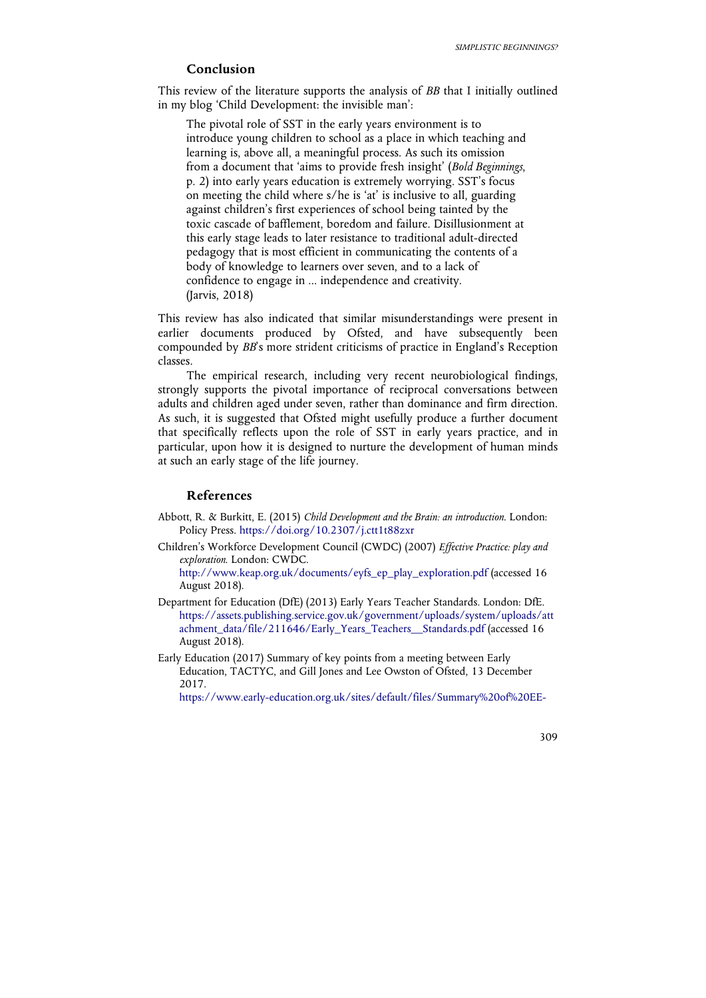## **Conclusion**

This review of the literature supports the analysis of *BB* that I initially outlined in my blog 'Child Development: the invisible man':

The pivotal role of SST in the early years environment is to introduce young children to school as a place in which teaching and learning is, above all, a meaningful process. As such its omission from a document that 'aims to provide fresh insight' (*Bold Beginnings*, p. 2) into early years education is extremely worrying. SST's focus on meeting the child where s/he is 'at' is inclusive to all, guarding against children's first experiences of school being tainted by the toxic cascade of bafflement, boredom and failure. Disillusionment at this early stage leads to later resistance to traditional adult-directed pedagogy that is most efficient in communicating the contents of a body of knowledge to learners over seven, and to a lack of confidence to engage in ... independence and creativity. (Jarvis, 2018)

This review has also indicated that similar misunderstandings were present in earlier documents produced by Ofsted, and have subsequently been compounded by *BB*'s more strident criticisms of practice in England's Reception classes.

The empirical research, including very recent neurobiological findings, strongly supports the pivotal importance of reciprocal conversations between adults and children aged under seven, rather than dominance and firm direction. As such, it is suggested that Ofsted might usefully produce a further document that specifically reflects upon the role of SST in early years practice, and in particular, upon how it is designed to nurture the development of human minds at such an early stage of the life journey.

## **References**

- Abbott, R. & Burkitt, E. (2015) *Child Development and the Brain: an introduction*. London: Policy Press. https://doi.org/10.2307/j.ctt1t88zxr
- Children's Workforce Development Council (CWDC) (2007) *Effective Practice: play and exploration*. London: CWDC.

http://www.keap.org.uk/documents/eyfs\_ep\_play\_exploration.pdf (accessed 16 August 2018).

- Department for Education (DfE) (2013) Early Years Teacher Standards. London: DfE. https://assets.publishing.service.gov.uk/government/uploads/system/uploads/att achment\_data/file/211646/Early\_Years\_Teachers\_\_Standards.pdf (accessed 16 August 2018).
- Early Education (2017) Summary of key points from a meeting between Early Education, TACTYC, and Gill Jones and Lee Owston of Ofsted, 13 December 2017.

https://www.early-education.org.uk/sites/default/files/Summary%20of%20EE-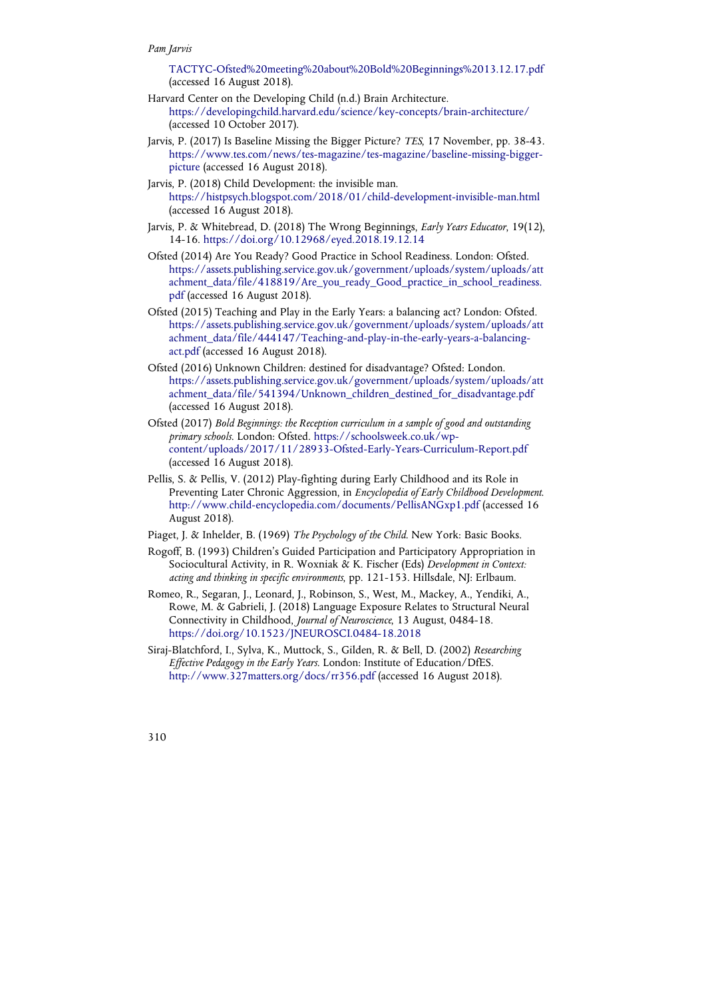TACTYC-Ofsted%20meeting%20about%20Bold%20Beginnings%2013.12.17.pdf (accessed 16 August 2018).

- Harvard Center on the Developing Child (n.d.) Brain Architecture. https://developingchild.harvard.edu/science/key-concepts/brain-architecture/ (accessed 10 October 2017).
- Jarvis, P. (2017) Is Baseline Missing the Bigger Picture? *TES*, 17 November, pp. 38-43. https://www.tes.com/news/tes-magazine/tes-magazine/baseline-missing-biggerpicture (accessed 16 August 2018).
- Jarvis, P. (2018) Child Development: the invisible man. https://histpsych.blogspot.com/2018/01/child-development-invisible-man.html (accessed 16 August 2018).
- Jarvis, P. & Whitebread, D. (2018) The Wrong Beginnings, *Early Years Educator*, 19(12), 14-16. https://doi.org/10.12968/eyed.2018.19.12.14
- Ofsted (2014) Are You Ready? Good Practice in School Readiness. London: Ofsted. https://assets.publishing.service.gov.uk/government/uploads/system/uploads/att achment\_data/file/418819/Are\_you\_ready\_Good\_practice\_in\_school\_readiness. pdf (accessed 16 August 2018).
- Ofsted (2015) Teaching and Play in the Early Years: a balancing act? London: Ofsted. https://assets.publishing.service.gov.uk/government/uploads/system/uploads/att achment\_data/file/444147/Teaching-and-play-in-the-early-years-a-balancingact.pdf (accessed 16 August 2018).
- Ofsted (2016) Unknown Children: destined for disadvantage? Ofsted: London. https://assets.publishing.service.gov.uk/government/uploads/system/uploads/att achment\_data/file/541394/Unknown\_children\_destined\_for\_disadvantage.pdf (accessed 16 August 2018).
- Ofsted (2017) *Bold Beginnings: the Reception curriculum in a sample of good and outstanding primary schools*. London: Ofsted. https://schoolsweek.co.uk/wpcontent/uploads/2017/11/28933-Ofsted-Early-Years-Curriculum-Report.pdf (accessed 16 August 2018).
- Pellis, S. & Pellis, V. (2012) Play-fighting during Early Childhood and its Role in Preventing Later Chronic Aggression, in *Encyclopedia of Early Childhood Development*. http://www.child-encyclopedia.com/documents/PellisANGxp1.pdf (accessed 16 August 2018).
- Piaget, J. & Inhelder, B. (1969) *The Psychology of the Child*. New York: Basic Books.
- Rogoff, B. (1993) Children's Guided Participation and Participatory Appropriation in Sociocultural Activity, in R. Woxniak & K. Fischer (Eds) *Development in Context: acting and thinking in specific environments*, pp. 121-153. Hillsdale, NJ: Erlbaum.
- Romeo, R., Segaran, J., Leonard, J., Robinson, S., West, M., Mackey, A., Yendiki, A., Rowe, M. & Gabrieli, J. (2018) Language Exposure Relates to Structural Neural Connectivity in Childhood, *Journal of Neuroscience*, 13 August, 0484-18. https://doi.org/10.1523/JNEUROSCI.0484-18.2018
- Siraj-Blatchford, I., Sylva, K., Muttock, S., Gilden, R. & Bell, D. (2002) *Researching Effective Pedagogy in the Early Years*. London: Institute of Education/DfES. http://www.327matters.org/docs/rr356.pdf (accessed 16 August 2018).